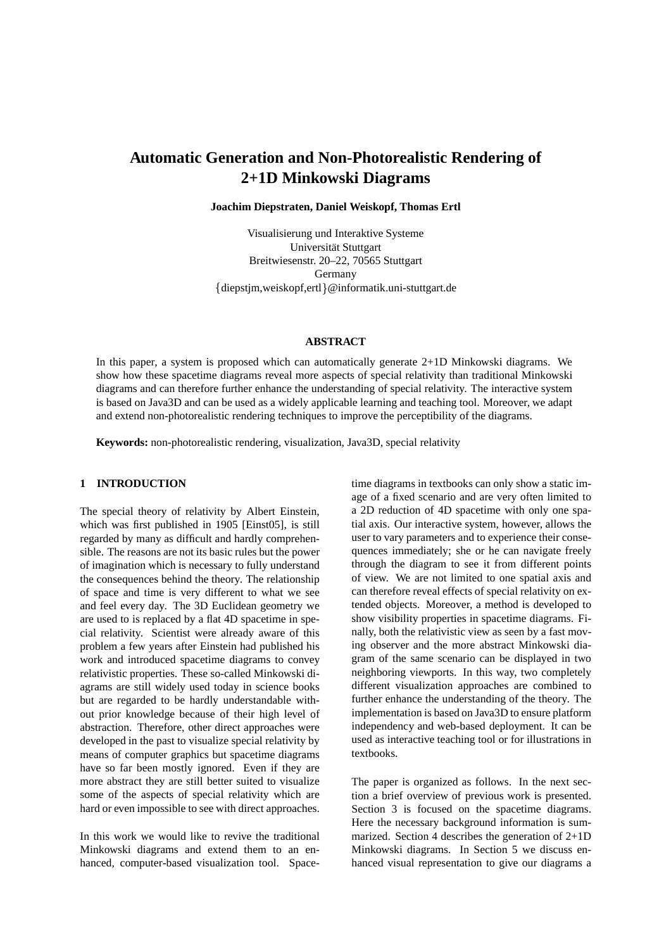# **Automatic Generation and Non-Photorealistic Rendering of 2+1D Minkowski Diagrams**

**Joachim Diepstraten, Daniel Weiskopf, Thomas Ertl**

Visualisierung und Interaktive Systeme Universität Stuttgart Breitwiesenstr. 20–22, 70565 Stuttgart Germany diepstjm,weiskopf,ertl @informatik.uni-stuttgart.de

### **ABSTRACT**

In this paper, a system is proposed which can automatically generate 2+1D Minkowski diagrams. We show how these spacetime diagrams reveal more aspects of special relativity than traditional Minkowski diagrams and can therefore further enhance the understanding of special relativity. The interactive system is based on Java3D and can be used as a widely applicable learning and teaching tool. Moreover, we adapt and extend non-photorealistic rendering techniques to improve the perceptibility of the diagrams.

**Keywords:** non-photorealistic rendering, visualization, Java3D, special relativity

# **1 INTRODUCTION**

The special theory of relativity by Albert Einstein, which was first published in 1905 [Einst05], is still regarded by many as difficult and hardly comprehensible. The reasons are not its basic rules but the power of imagination which is necessary to fully understand the consequences behind the theory. The relationship of space and time is very different to what we see and feel every day. The 3D Euclidean geometry we are used to is replaced by a flat 4D spacetime in special relativity. Scientist were already aware of this problem a few years after Einstein had published his work and introduced spacetime diagrams to convey relativistic properties. These so-called Minkowski diagrams are still widely used today in science books but are regarded to be hardly understandable without prior knowledge because of their high level of abstraction. Therefore, other direct approaches were developed in the past to visualize special relativity by means of computer graphics but spacetime diagrams have so far been mostly ignored. Even if they are more abstract they are still better suited to visualize some of the aspects of special relativity which are hard or even impossible to see with direct approaches.

In this work we would like to revive the traditional Minkowski diagrams and extend them to an enhanced, computer-based visualization tool. Spacetime diagrams in textbooks can only show a static image of a fixed scenario and are very often limited to a 2D reduction of 4D spacetime with only one spatial axis. Our interactive system, however, allows the user to vary parameters and to experience their consequences immediately; she or he can navigate freely through the diagram to see it from different points of view. We are not limited to one spatial axis and can therefore reveal effects of special relativity on extended objects. Moreover, a method is developed to show visibility properties in spacetime diagrams. Finally, both the relativistic view as seen by a fast moving observer and the more abstract Minkowski diagram of the same scenario can be displayed in two neighboring viewports. In this way, two completely different visualization approaches are combined to further enhance the understanding of the theory. The implementation is based on Java3D to ensure platform independency and web-based deployment. It can be used as interactive teaching tool or for illustrations in textbooks.

The paper is organized as follows. In the next section a brief overview of previous work is presented. Section 3 is focused on the spacetime diagrams. Here the necessary background information is summarized. Section 4 describes the generation of 2+1D Minkowski diagrams. In Section 5 we discuss enhanced visual representation to give our diagrams a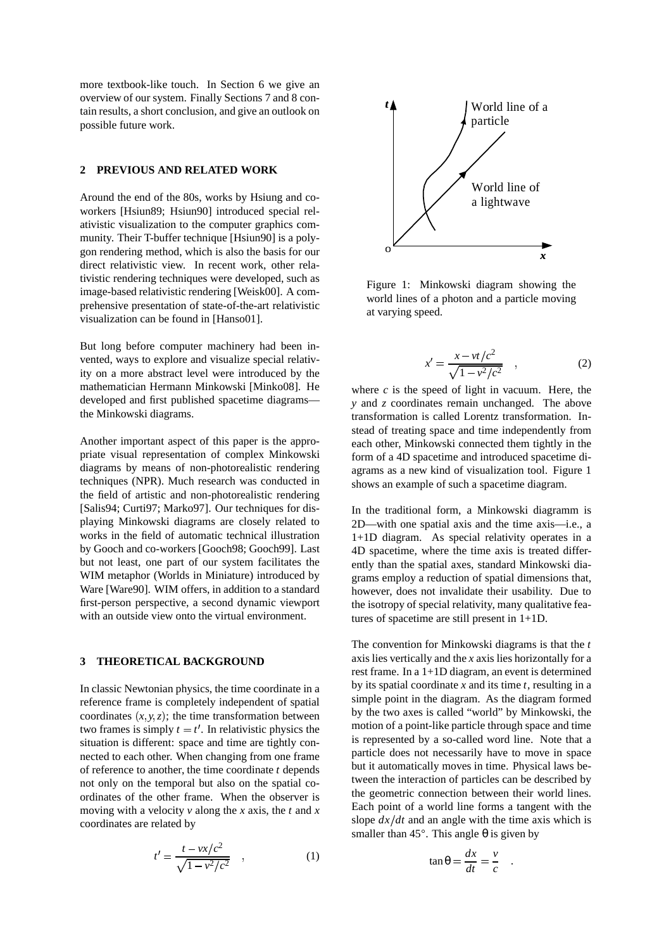more textbook-like touch. In Section 6 we give an overview of our system. Finally Sections 7 and 8 contain results, a short conclusion, and give an outlook on possible future work.

#### **2 PREVIOUS AND RELATED WORK**

Around the end of the 80s, works by Hsiung and coworkers [Hsiun89; Hsiun90] introduced special relativistic visualization to the computer graphics community. Their T-buffer technique [Hsiun90] is a polygon rendering method, which is also the basis for our direct relativistic view. In recent work, other relativistic rendering techniques were developed, such as image-based relativistic rendering [Weisk00]. A comprehensive presentation of state-of-the-art relativistic visualization can be found in [Hanso01].

But long before computer machinery had been invented, ways to explore and visualize special relativity on a more abstract level were introduced by the mathematician Hermann Minkowski [Minko08]. He developed and first published spacetime diagrams the Minkowski diagrams.

Another important aspect of this paper is the appropriate visual representation of complex Minkowski diagrams by means of non-photorealistic rendering techniques (NPR). Much research was conducted in the field of artistic and non-photorealistic rendering [Salis94; Curti97; Marko97]. Our techniques for displaying Minkowski diagrams are closely related to works in the field of automatic technical illustration by Gooch and co-workers [Gooch98; Gooch99]. Last but not least, one part of our system facilitates the WIM metaphor (Worlds in Miniature) introduced by Ware [Ware90]. WIM offers, in addition to a standard first-person perspective, a second dynamic viewport with an outside view onto the virtual environment.

# **3 THEORETICAL BACKGROUND**

In classic Newtonian physics, the time coordinate in a reference frame is completely independent of spatial coordinates  $(x, y, z)$ ; the time transformation between two frames is simply  $t = t'$ . In relativistic physics the situation is different: space and time are tightly connected to each other. When changing from one frame of reference to another, the time coordinate *t* depends not only on the temporal but also on the spatial coordinates of the other frame. When the observer is moving with a velocity *v* along the *x* axis, the *t* and *x* coordinates are related by

$$
t' = \frac{t - vx/c^2}{\sqrt{1 - v^2/c^2}} \quad , \tag{1}
$$



Figure 1: Minkowski diagram showing the world lines of a photon and a particle moving at varying speed.

$$
x' = \frac{x - vt/c^2}{\sqrt{1 - v^2/c^2}} \quad , \tag{2}
$$

where  $c$  is the speed of light in vacuum. Here, the *y* and *z* coordinates remain unchanged. The above transformation is called Lorentz transformation. Instead of treating space and time independently from each other, Minkowski connected them tightly in the form of a 4D spacetime and introduced spacetime diagrams as a new kind of visualization tool. Figure 1 shows an example of such a spacetime diagram.

In the traditional form, a Minkowski diagramm is 2D—with one spatial axis and the time axis—i.e., a 1+1D diagram. As special relativity operates in a 4D spacetime, where the time axis is treated differently than the spatial axes, standard Minkowski diagrams employ a reduction of spatial dimensions that, however, does not invalidate their usability. Due to the isotropy of special relativity, many qualitative features of spacetime are still present in 1+1D.

The convention for Minkowski diagrams is that the *t* axis lies vertically and the *x* axis lies horizontally for a rest frame. In a 1+1D diagram, an event is determined by its spatial coordinate *x* and its time *t*, resulting in a simple point in the diagram. As the diagram formed by the two axes is called "world" by Minkowski, the motion of a point-like particle through space and time is represented by a so-called word line. Note that a particle does not necessarily have to move in space but it automatically moves in time. Physical laws between the interaction of particles can be described by the geometric connection between their world lines. Each point of a world line forms a tangent with the slope  $dx/dt$  and an angle with the time axis which is smaller than 45 $^{\circ}$ . This angle  $\theta$  is given by

$$
\tan \theta = \frac{dx}{dt} = \frac{v}{c} \quad .
$$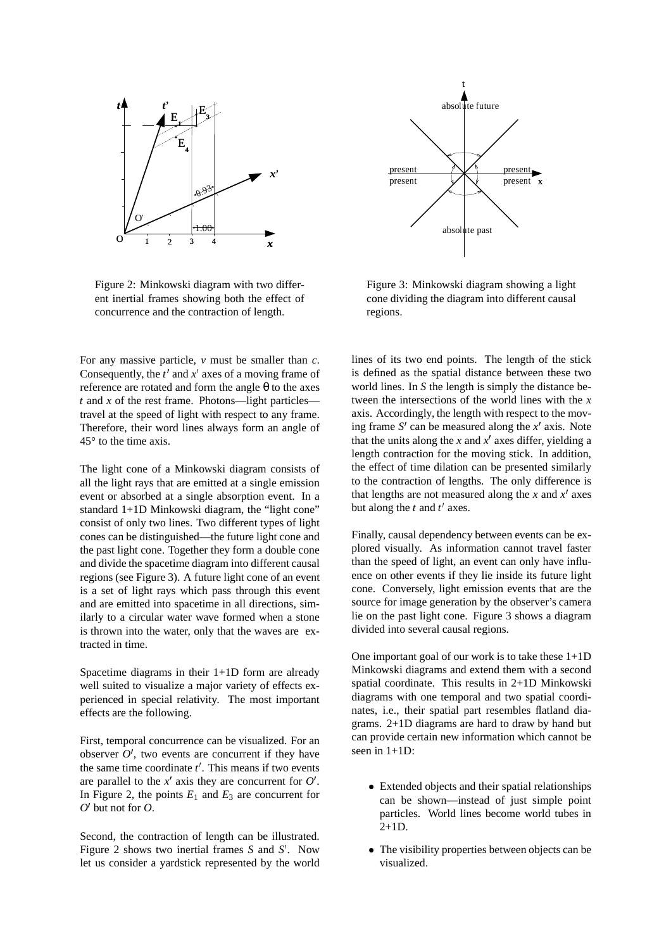

Figure 2: Minkowski diagram with two different inertial frames showing both the effect of concurrence and the contraction of length.

For any massive particle, *v* must be smaller than *c*. Consequently, the  $t'$  and  $x'$  axes of a moving frame of reference are rotated and form the angle θ to the axes *t* and *x* of the rest frame. Photons—light particles travel at the speed of light with respect to any frame. Therefore, their word lines always form an angle of 45 to the time axis.

The light cone of a Minkowski diagram consists of all the light rays that are emitted at a single emission event or absorbed at a single absorption event. In a standard 1+1D Minkowski diagram, the "light cone" consist of only two lines. Two different types of light cones can be distinguished—the future light cone and the past light cone. Together they form a double cone and divide the spacetime diagram into different causal regions (see Figure 3). A future light cone of an event is a set of light rays which pass through this event and are emitted into spacetime in all directions, similarly to a circular water wave formed when a stone is thrown into the water, only that the waves are extracted in time.

Spacetime diagrams in their 1+1D form are already well suited to visualize a major variety of effects experienced in special relativity. The most important effects are the following.

First, temporal concurrence can be visualized. For an observer  $O'$ , two events are concurrent if they have the same time coordinate  $t'$ . This means if two events are parallel to the  $x'$  axis they are concurrent for  $O'$ . In Figure 2, the points  $E_1$  and  $E_3$  are concurrent for  $O'$  but not for  $O$ .

Second, the contraction of length can be illustrated. Figure 2 shows two inertial frames *S* and *S'*. Now let us consider a yardstick represented by the world



Figure 3: Minkowski diagram showing a light cone dividing the diagram into different causal regions.

lines of its two end points. The length of the stick is defined as the spatial distance between these two world lines. In *S* the length is simply the distance between the intersections of the world lines with the *x* axis. Accordingly, the length with respect to the moving frame  $S'$  can be measured along the  $x'$  axis. Note that the units along the *x* and  $x'$  axes differ, yielding a length contraction for the moving stick. In addition, the effect of time dilation can be presented similarly to the contraction of lengths. The only difference is that lengths are not measured along the *x* and  $x^{\prime}$  axes but along the  $t$  and  $t'$  axes.

Finally, causal dependency between events can be explored visually. As information cannot travel faster than the speed of light, an event can only have influence on other events if they lie inside its future light cone. Conversely, light emission events that are the source for image generation by the observer's camera lie on the past light cone. Figure 3 shows a diagram divided into several causal regions.

One important goal of our work is to take these  $1+1D$ Minkowski diagrams and extend them with a second spatial coordinate. This results in 2+1D Minkowski diagrams with one temporal and two spatial coordinates, i.e., their spatial part resembles flatland diagrams. 2+1D diagrams are hard to draw by hand but can provide certain new information which cannot be seen in 1+1D:

- Extended objects and their spatial relationships can be shown—instead of just simple point particles. World lines become world tubes in  $2+1D$ .
- The visibility properties between objects can be visualized.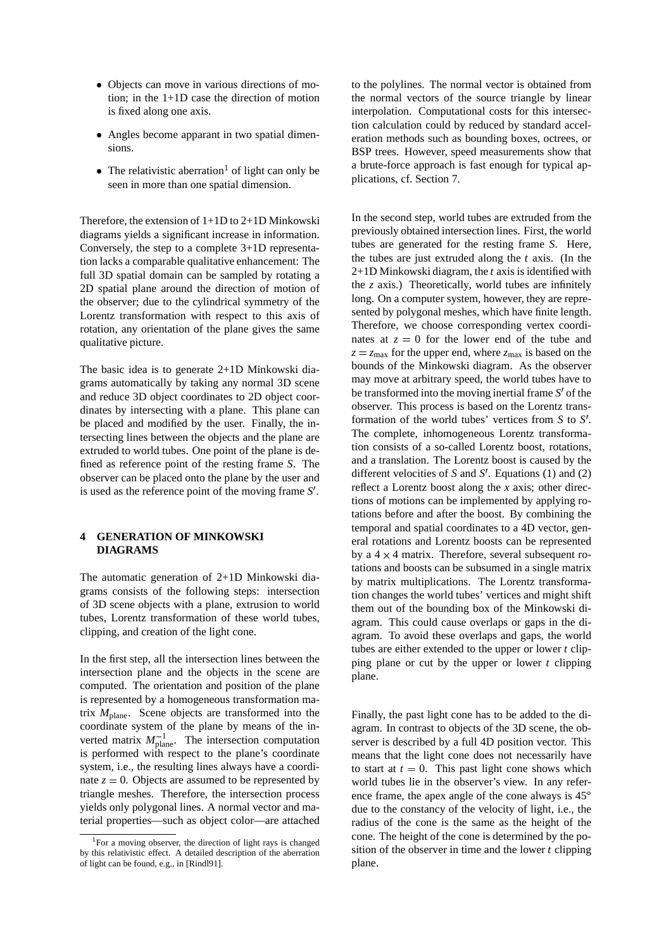- Objects can move in various directions of motion; in the 1+1D case the direction of motion is fixed along one axis.
- Angles become apparant in two spatial dimensions.
- The relativistic aberration<sup>1</sup> of light can only be seen in more than one spatial dimension.

Therefore, the extension of 1+1D to 2+1D Minkowski diagrams yields a significant increase in information. Conversely, the step to a complete 3+1D representation lacks a comparable qualitative enhancement: The full 3D spatial domain can be sampled by rotating a 2D spatial plane around the direction of motion of the observer; due to the cylindrical symmetry of the Lorentz transformation with respect to this axis of rotation, any orientation of the plane gives the same qualitative picture.

The basic idea is to generate 2+1D Minkowski diagrams automatically by taking any normal 3D scene and reduce 3D object coordinates to 2D object coordinates by intersecting with a plane. This plane can be placed and modified by the user. Finally, the intersecting lines between the objects and the plane are extruded to world tubes. One point of the plane is defined as reference point of the resting frame *S*. The observer can be placed onto the plane by the user and is used as the reference point of the moving frame *S'*.

### **4 GENERATION OF MINKOWSKI DIAGRAMS**

The automatic generation of 2+1D Minkowski diagrams consists of the following steps: intersection of 3D scene objects with a plane, extrusion to world tubes, Lorentz transformation of these world tubes, clipping, and creation of the light cone.

In the first step, all the intersection lines between the intersection plane and the objects in the scene are computed. The orientation and position of the plane is represented by a homogeneous transformation matrix *M*plane. Scene objects are transformed into the coordinate system of the plane by means of the inverted matrix  $M_{\text{plane}}^{-1}$ . The intersection computation is performed with respect to the plane's coordinate system, i.e., the resulting lines always have a coordinate  $z = 0$ . Objects are assumed to be represented by triangle meshes. Therefore, the intersection process yields only polygonal lines. A normal vector and material properties—such as object color—are attached to the polylines. The normal vector is obtained from the normal vectors of the source triangle by linear interpolation. Computational costs for this intersection calculation could by reduced by standard acceleration methods such as bounding boxes, octrees, or BSP trees. However, speed measurements show that a brute-force approach is fast enough for typical applications, cf. Section 7.

In the second step, world tubes are extruded from the previously obtained intersection lines. First, the world tubes are generated for the resting frame *S*. Here, the tubes are just extruded along the *t* axis. (In the 2+1D Minkowski diagram, the *t* axis is identified with the *z* axis.) Theoretically, world tubes are infinitely long. On a computer system, however, they are represented by polygonal meshes, which have finite length. Therefore, we choose corresponding vertex coordinates at  $z = 0$  for the lower end of the tube and  $z = z_{\text{max}}$  for the upper end, where  $z_{\text{max}}$  is based on the bounds of the Minkowski diagram. As the observer may move at arbitrary speed, the world tubes have to be transformed into the moving inertial frame *S'* of the observer. This process is based on the Lorentz transformation of the world tubes' vertices from *S* to *S* . The complete, inhomogeneous Lorentz transformation consists of a so-called Lorentz boost, rotations, and a translation. The Lorentz boost is caused by the different velocities of  $S$  and  $S'$ . Equations (1) and (2) reflect a Lorentz boost along the *x* axis; other directions of motions can be implemented by applying rotations before and after the boost. By combining the temporal and spatial coordinates to a 4D vector, general rotations and Lorentz boosts can be represented by a  $4 \times 4$  matrix. Therefore, several subsequent rotations and boosts can be subsumed in a single matrix by matrix multiplications. The Lorentz transformation changes the world tubes' vertices and might shift them out of the bounding box of the Minkowski diagram. This could cause overlaps or gaps in the diagram. To avoid these overlaps and gaps, the world tubes are either extended to the upper or lower *t* clipping plane or cut by the upper or lower *t* clipping plane.

Finally, the past light cone has to be added to the diagram. In contrast to objects of the 3D scene, the observer is described by a full 4D position vector. This means that the light cone does not necessarily have to start at  $t = 0$ . This past light cone shows which world tubes lie in the observer's view. In any reference frame, the apex angle of the cone always is 45 due to the constancy of the velocity of light, i.e., the radius of the cone is the same as the height of the cone. The height of the cone is determined by the position of the observer in time and the lower *t* clipping plane.

<sup>1</sup>For a moving observer, the direction of light rays is changed by this relativistic effect. A detailed description of the aberration of light can be found, e.g., in [Rindl91].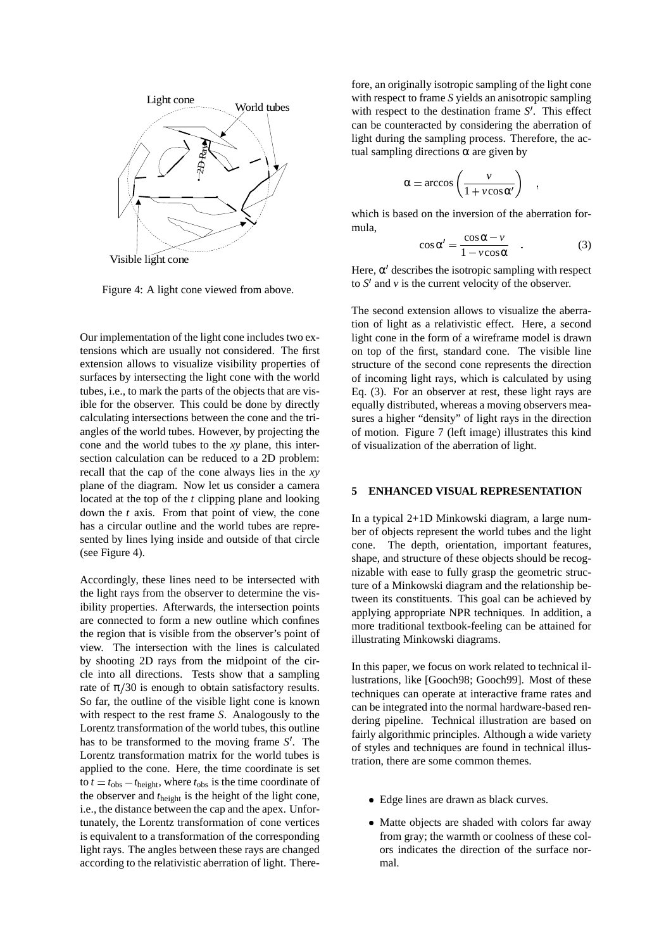

Figure 4: A light cone viewed from above.

Our implementation of the light cone includes two extensions which are usually not considered. The first extension allows to visualize visibility properties of surfaces by intersecting the light cone with the world tubes, i.e., to mark the parts of the objects that are visible for the observer. This could be done by directly calculating intersections between the cone and the triangles of the world tubes. However, by projecting the cone and the world tubes to the *xy* plane, this intersection calculation can be reduced to a 2D problem: recall that the cap of the cone always lies in the *xy* plane of the diagram. Now let us consider a camera located at the top of the *t* clipping plane and looking down the *t* axis. From that point of view, the cone has a circular outline and the world tubes are represented by lines lying inside and outside of that circle (see Figure 4).

Accordingly, these lines need to be intersected with the light rays from the observer to determine the visibility properties. Afterwards, the intersection points are connected to form a new outline which confines the region that is visible from the observer's point of view. The intersection with the lines is calculated by shooting 2D rays from the midpoint of the circle into all directions. Tests show that a sampling rate of  $\pi/30$  is enough to obtain satisfactory results. So far, the outline of the visible light cone is known with respect to the rest frame *S*. Analogously to the Lorentz transformation of the world tubes, this outline has to be transformed to the moving frame *S'*. The Lorentz transformation matrix for the world tubes is applied to the cone. Here, the time coordinate is set to  $t = t_{\text{obs}} - t_{\text{height}}$ , where  $t_{\text{obs}}$  is the time coordinate of the observer and *t*height is the height of the light cone, i.e., the distance between the cap and the apex. Unfortunately, the Lorentz transformation of cone vertices is equivalent to a transformation of the corresponding light rays. The angles between these rays are changed according to the relativistic aberration of light. Therefore, an originally isotropic sampling of the light cone with respect to frame *S* yields an anisotropic sampling with respect to the destination frame *S'*. This effect can be counteracted by considering the aberration of light during the sampling process. Therefore, the actual sampling directions  $\alpha$  are given by

$$
\alpha = \arccos\left(\frac{v}{1 + v\cos\alpha'}\right) \quad ,
$$

which is based on the inversion of the aberration formula,

$$
\cos \alpha' = \frac{\cos \alpha - v}{1 - v \cos \alpha} \quad . \tag{3}
$$

Here,  $\alpha'$  describes the isotropic sampling with respect to  $S'$  and  $\nu$  is the current velocity of the observer.

The second extension allows to visualize the aberration of light as a relativistic effect. Here, a second light cone in the form of a wireframe model is drawn on top of the first, standard cone. The visible line structure of the second cone represents the direction of incoming light rays, which is calculated by using Eq. (3). For an observer at rest, these light rays are equally distributed, whereas a moving observers measures a higher "density" of light rays in the direction of motion. Figure 7 (left image) illustrates this kind of visualization of the aberration of light.

### **5 ENHANCED VISUAL REPRESENTATION**

In a typical 2+1D Minkowski diagram, a large number of objects represent the world tubes and the light cone. The depth, orientation, important features, shape, and structure of these objects should be recognizable with ease to fully grasp the geometric structure of a Minkowski diagram and the relationship between its constituents. This goal can be achieved by applying appropriate NPR techniques. In addition, a more traditional textbook-feeling can be attained for illustrating Minkowski diagrams.

In this paper, we focus on work related to technical illustrations, like [Gooch98; Gooch99]. Most of these techniques can operate at interactive frame rates and can be integrated into the normal hardware-based rendering pipeline. Technical illustration are based on fairly algorithmic principles. Although a wide variety of styles and techniques are found in technical illustration, there are some common themes.

- Edge lines are drawn as black curves.
- Matte objects are shaded with colors far away from gray; the warmth or coolness of these colors indicates the direction of the surface normal.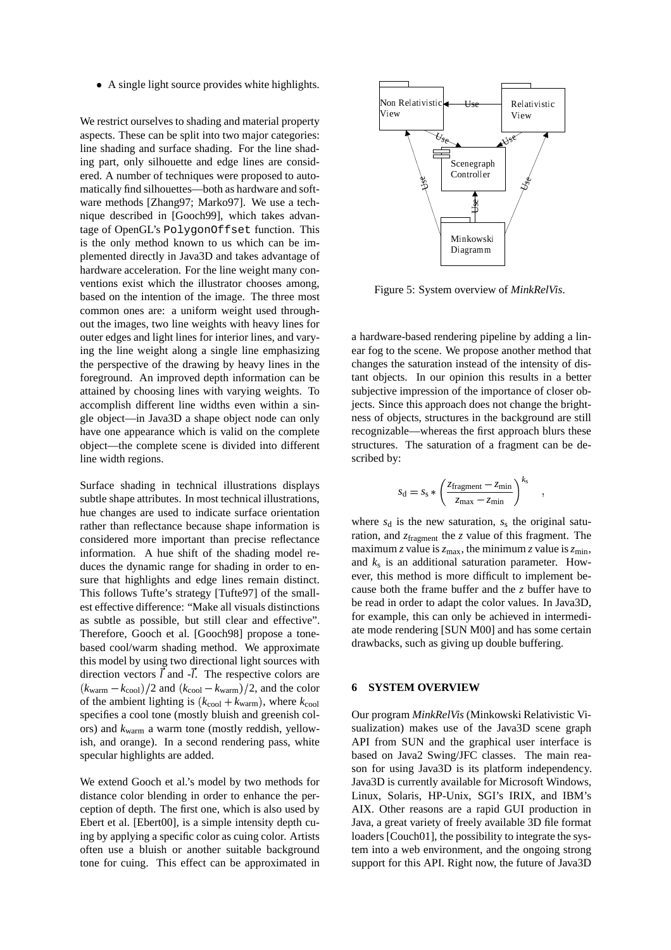A single light source provides white highlights.

We restrict ourselves to shading and material property aspects. These can be split into two major categories: line shading and surface shading. For the line shading part, only silhouette and edge lines are considered. A number of techniques were proposed to automatically find silhouettes—both as hardware and software methods [Zhang97; Marko97]. We use a technique described in [Gooch99], which takes advantage of OpenGL's PolygonOffset function. This is the only method known to us which can be implemented directly in Java3D and takes advantage of hardware acceleration. For the line weight many conventions exist which the illustrator chooses among, based on the intention of the image. The three most common ones are: a uniform weight used throughout the images, two line weights with heavy lines for outer edges and light lines for interior lines, and varying the line weight along a single line emphasizing the perspective of the drawing by heavy lines in the foreground. An improved depth information can be attained by choosing lines with varying weights. To accomplish different line widths even within a single object—in Java3D a shape object node can only have one appearance which is valid on the complete object—the complete scene is divided into different line width regions.

Surface shading in technical illustrations displays subtle shape attributes. In most technical illustrations, hue changes are used to indicate surface orientation rather than reflectance because shape information is considered more important than precise reflectance information. A hue shift of the shading model reduces the dynamic range for shading in order to ensure that highlights and edge lines remain distinct. This follows Tufte's strategy [Tufte97] of the smallest effective difference: "Make all visuals distinctions as subtle as possible, but still clear and effective". Therefore, Gooch et al. [Gooch98] propose a tonebased cool/warm shading method. We approximate this model by using two directional light sources with direction vectors  $\vec{l}$  and  $-\vec{l}$ . The respective colors are  $(k_{\text{warm}} - k_{\text{cool}})/2$  and  $(k_{\text{cool}} - k_{\text{warm}})/2$ , and the color of the ambient lighting is  $(k_{\text{cool}} + k_{\text{warm}})$ , where  $k_{\text{cool}}$ specifies a cool tone (mostly bluish and greenish colors) and *k*warm a warm tone (mostly reddish, yellowish, and orange). In a second rendering pass, white specular highlights are added.

We extend Gooch et al.'s model by two methods for distance color blending in order to enhance the perception of depth. The first one, which is also used by Ebert et al. [Ebert00], is a simple intensity depth cuing by applying a specific color as cuing color. Artists often use a bluish or another suitable background tone for cuing. This effect can be approximated in



Figure 5: System overview of *MinkRelVis*.

a hardware-based rendering pipeline by adding a linear fog to the scene. We propose another method that changes the saturation instead of the intensity of distant objects. In our opinion this results in a better subjective impression of the importance of closer objects. Since this approach does not change the brightness of objects, structures in the background are still recognizable—whereas the first approach blurs these structures. The saturation of a fragment can be described by:

$$
s_{\rm d} = s_{\rm s} * \left( \frac{z_{\rm fragment} - z_{\rm min}}{z_{\rm max} - z_{\rm min}} \right)^{k_{\rm s}} \quad ,
$$

where  $s_d$  is the new saturation,  $s_s$  the original saturation, and  $z_{fragment}$  the *z* value of this fragment. The maximum *z* value is  $z_{\text{max}}$ , the minimum *z* value is  $z_{\text{min}}$ , and *k*<sup>s</sup> is an additional saturation parameter. However, this method is more difficult to implement because both the frame buffer and the *z* buffer have to be read in order to adapt the color values. In Java3D, for example, this can only be achieved in intermediate mode rendering [SUN M00] and has some certain drawbacks, such as giving up double buffering.

# **6 SYSTEM OVERVIEW**

Our program *MinkRelVis* (Minkowski Relativistic Visualization) makes use of the Java3D scene graph API from SUN and the graphical user interface is based on Java2 Swing/JFC classes. The main reason for using Java3D is its platform independency. Java3D is currently available for Microsoft Windows, Linux, Solaris, HP-Unix, SGI's IRIX, and IBM's AIX. Other reasons are a rapid GUI production in Java, a great variety of freely available 3D file format loaders [Couch01], the possibility to integrate the system into a web environment, and the ongoing strong support for this API. Right now, the future of Java3D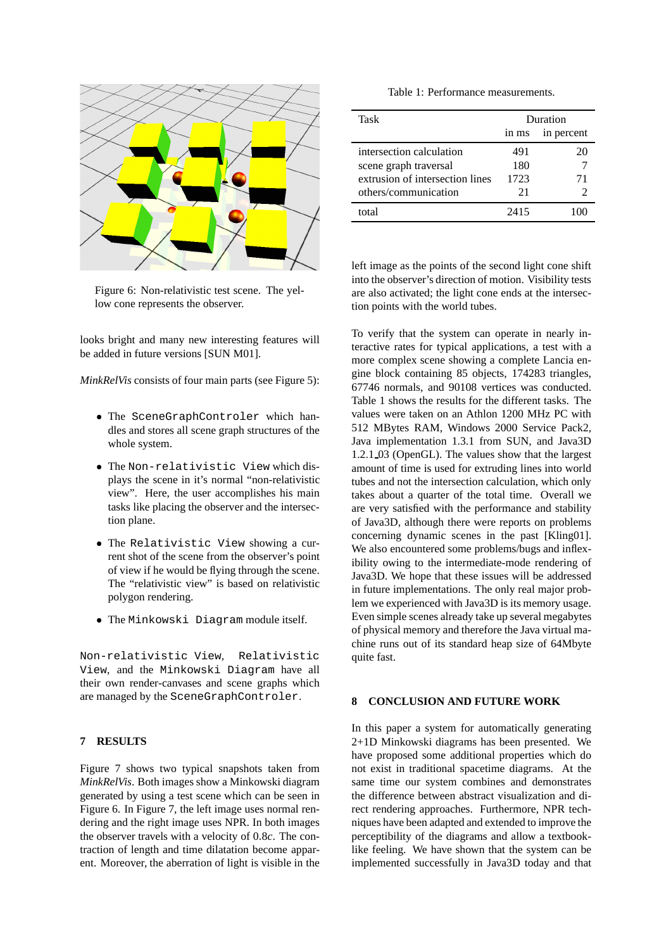

Figure 6: Non-relativistic test scene. The yellow cone represents the observer.

looks bright and many new interesting features will be added in future versions [SUN M01].

*MinkRelVis* consists of four main parts (see Figure 5):

- The SceneGraphControler which handles and stores all scene graph structures of the whole system.
- The Non-relativistic View which displays the scene in it's normal "non-relativistic view". Here, the user accomplishes his main tasks like placing the observer and the intersection plane.
- The Relativistic View showing a current shot of the scene from the observer's point of view if he would be flying through the scene. The "relativistic view" is based on relativistic polygon rendering.
- The Minkowski Diagram module itself.

Non-relativistic View, Relativistic View, and the Minkowski Diagram have all their own render-canvases and scene graphs which are managed by the SceneGraphControler.

#### **7 RESULTS**

Figure 7 shows two typical snapshots taken from *MinkRelVis*. Both images show a Minkowski diagram generated by using a test scene which can be seen in Figure 6. In Figure 7, the left image uses normal rendering and the right image uses NPR. In both images the observer travels with a velocity of 0 8*c*. The con traction of length and time dilatation become apparent. Moreover, the aberration of light is visible in the

|  | Table 1: Performance measurements. |
|--|------------------------------------|
|--|------------------------------------|

| Task                            | Duration |            |
|---------------------------------|----------|------------|
|                                 | in ms    | in percent |
| intersection calculation        | 491      | 20         |
| scene graph traversal           | 180      |            |
| extrusion of intersection lines | 1723     | 71         |
| others/communication            | 21       | 2          |
| total                           | 2415     |            |

left image as the points of the second light cone shift into the observer's direction of motion. Visibility tests are also activated; the light cone ends at the intersection points with the world tubes.

To verify that the system can operate in nearly interactive rates for typical applications, a test with a more complex scene showing a complete Lancia engine block containing 85 objects, 174283 triangles, 67746 normals, and 90108 vertices was conducted. Table 1 shows the results for the different tasks. The values were taken on an Athlon 1200 MHz PC with 512 MBytes RAM, Windows 2000 Service Pack2, Java implementation 1.3.1 from SUN, and Java3D 1.2.1 03 (OpenGL). The values show that the largest amount of time is used for extruding lines into world tubes and not the intersection calculation, which only takes about a quarter of the total time. Overall we are very satisfied with the performance and stability of Java3D, although there were reports on problems concerning dynamic scenes in the past [Kling01]. We also encountered some problems/bugs and inflexibility owing to the intermediate-mode rendering of Java3D. We hope that these issues will be addressed in future implementations. The only real major problem we experienced with Java3D is its memory usage. Even simple scenes already take up several megabytes of physical memory and therefore the Java virtual machine runs out of its standard heap size of 64Mbyte quite fast.

# **8 CONCLUSION AND FUTURE WORK**

In this paper a system for automatically generating 2+1D Minkowski diagrams has been presented. We have proposed some additional properties which do not exist in traditional spacetime diagrams. At the same time our system combines and demonstrates the difference between abstract visualization and direct rendering approaches. Furthermore, NPR techniques have been adapted and extended to improve the perceptibility of the diagrams and allow a textbooklike feeling. We have shown that the system can be implemented successfully in Java3D today and that